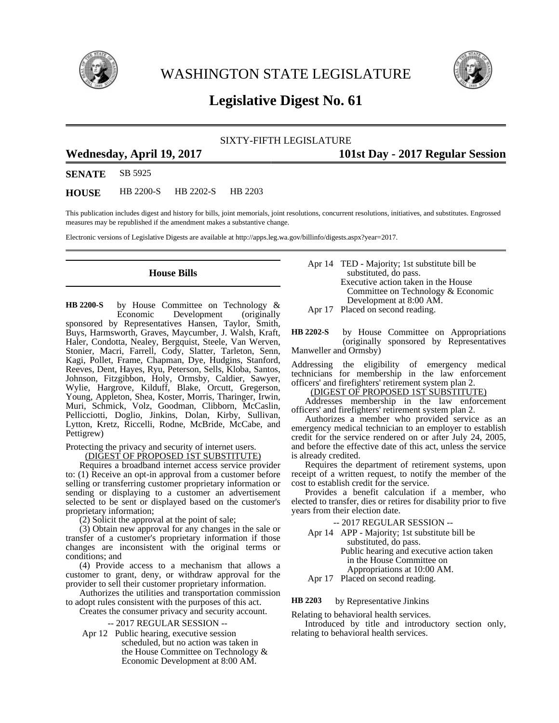

WASHINGTON STATE LEGISLATURE



## **Legislative Digest No. 61**

### SIXTY-FIFTH LEGISLATURE

# **Wednesday, April 19, 2017 101st Day - 2017 Regular Session**

**SENATE** SB 5925

**HOUSE** HB 2200-S HB 2202-S HB 2203

This publication includes digest and history for bills, joint memorials, joint resolutions, concurrent resolutions, initiatives, and substitutes. Engrossed measures may be republished if the amendment makes a substantive change.

Electronic versions of Legislative Digests are available at http://apps.leg.wa.gov/billinfo/digests.aspx?year=2017.

## **House Bills**

by House Committee on Technology &<br>Economic Development (originally Development (originally sponsored by Representatives Hansen, Taylor, Smith, Buys, Harmsworth, Graves, Maycumber, J. Walsh, Kraft, Haler, Condotta, Nealey, Bergquist, Steele, Van Werven, Stonier, Macri, Farrell, Cody, Slatter, Tarleton, Senn, Kagi, Pollet, Frame, Chapman, Dye, Hudgins, Stanford, Reeves, Dent, Hayes, Ryu, Peterson, Sells, Kloba, Santos, Johnson, Fitzgibbon, Holy, Ormsby, Caldier, Sawyer, Wylie, Hargrove, Kilduff, Blake, Orcutt, Gregerson, Young, Appleton, Shea, Koster, Morris, Tharinger, Irwin, Muri, Schmick, Volz, Goodman, Clibborn, McCaslin, Pellicciotti, Doglio, Jinkins, Dolan, Kirby, Sullivan, Lytton, Kretz, Riccelli, Rodne, McBride, McCabe, and Pettigrew) **HB 2200-S**

Protecting the privacy and security of internet users.

(DIGEST OF PROPOSED 1ST SUBSTITUTE)

Requires a broadband internet access service provider to: (1) Receive an opt-in approval from a customer before selling or transferring customer proprietary information or sending or displaying to a customer an advertisement selected to be sent or displayed based on the customer's proprietary information;

(2) Solicit the approval at the point of sale;

(3) Obtain new approval for any changes in the sale or transfer of a customer's proprietary information if those changes are inconsistent with the original terms or conditions; and

(4) Provide access to a mechanism that allows a customer to grant, deny, or withdraw approval for the provider to sell their customer proprietary information.

Authorizes the utilities and transportation commission to adopt rules consistent with the purposes of this act.

Creates the consumer privacy and security account.

-- 2017 REGULAR SESSION --

Apr 12 Public hearing, executive session scheduled, but no action was taken in the House Committee on Technology & Economic Development at 8:00 AM.

Apr 14 TED - Majority; 1st substitute bill be substituted, do pass. Executive action taken in the House Committee on Technology & Economic Development at 8:00 AM.

Apr 17 Placed on second reading.

by House Committee on Appropriations (originally sponsored by Representatives Manweller and Ormsby) **HB 2202-S**

Addressing the eligibility of emergency medical technicians for membership in the law enforcement officers' and firefighters' retirement system plan 2.

#### (DIGEST OF PROPOSED 1ST SUBSTITUTE)

Addresses membership in the law enforcement officers' and firefighters' retirement system plan 2.

Authorizes a member who provided service as an emergency medical technician to an employer to establish credit for the service rendered on or after July 24, 2005, and before the effective date of this act, unless the service is already credited.

Requires the department of retirement systems, upon receipt of a written request, to notify the member of the cost to establish credit for the service.

Provides a benefit calculation if a member, who elected to transfer, dies or retires for disability prior to five years from their election date.

- -- 2017 REGULAR SESSION --
- Apr 14 APP Majority; 1st substitute bill be substituted, do pass.

Public hearing and executive action taken in the House Committee on

Appropriations at 10:00 AM.

Apr 17 Placed on second reading.

by Representative Jinkins **HB 2203**

Relating to behavioral health services. Introduced by title and introductory section only, relating to behavioral health services.